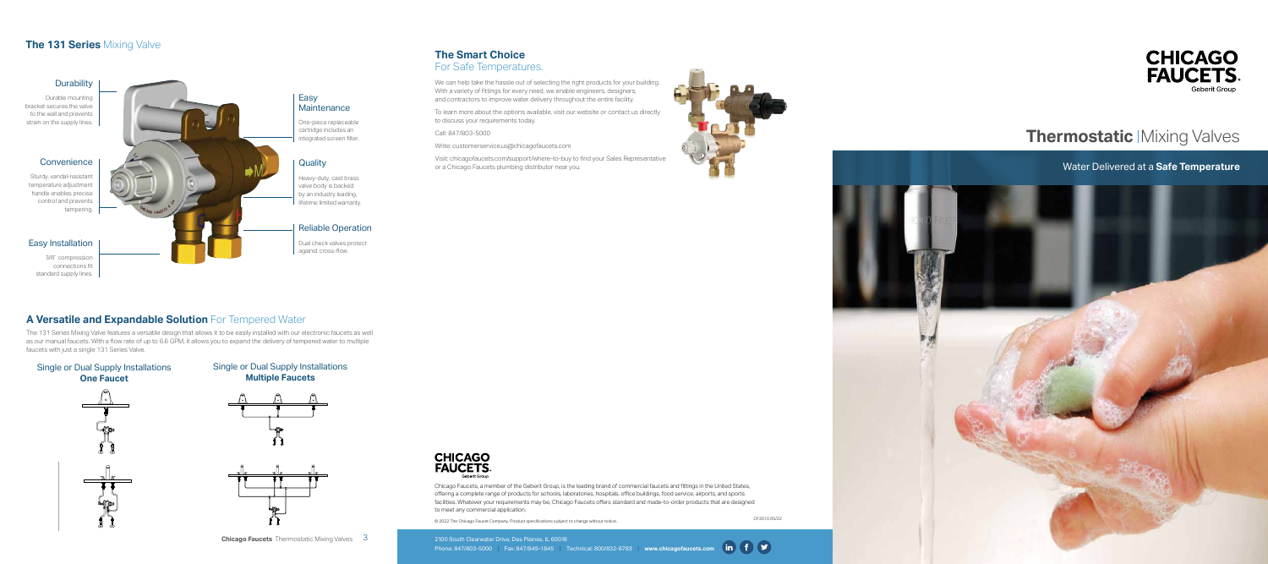

# **Thermostatic | Mixing Valves**

Water Delivered at a **Safe Temperature**